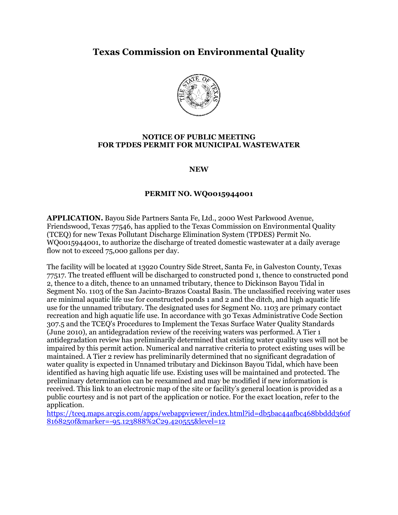# **Texas Commission on Environmental Quality**



#### **NOTICE OF PUBLIC MEETING FOR TPDES PERMIT FOR MUNICIPAL WASTEWATER**

**NEW**

#### **PERMIT NO. WQ0015944001**

**APPLICATION.** Bayou Side Partners Santa Fe, Ltd., 2000 West Parkwood Avenue, Friendswood, Texas 77546, has applied to the Texas Commission on Environmental Quality (TCEQ) for new Texas Pollutant Discharge Elimination System (TPDES) Permit No. WQ0015944001, to authorize the discharge of treated domestic wastewater at a daily average flow not to exceed 75,000 gallons per day.

The facility will be located at 13920 Country Side Street, Santa Fe, in Galveston County, Texas 77517. The treated effluent will be discharged to constructed pond 1, thence to constructed pond 2, thence to a ditch, thence to an unnamed tributary, thence to Dickinson Bayou Tidal in Segment No. 1103 of the San Jacinto-Brazos Coastal Basin. The unclassified receiving water uses are minimal aquatic life use for constructed ponds 1 and 2 and the ditch, and high aquatic life use for the unnamed tributary. The designated uses for Segment No. 1103 are primary contact recreation and high aquatic life use. In accordance with 30 Texas Administrative Code Section 307.5 and the TCEQ's Procedures to Implement the Texas Surface Water Quality Standards (June 2010), an antidegradation review of the receiving waters was performed. A Tier 1 antidegradation review has preliminarily determined that existing water quality uses will not be impaired by this permit action. Numerical and narrative criteria to protect existing uses will be maintained. A Tier 2 review has preliminarily determined that no significant degradation of water quality is expected in Unnamed tributary and Dickinson Bayou Tidal, which have been identified as having high aquatic life use. Existing uses will be maintained and protected. The preliminary determination can be reexamined and may be modified if new information is received. This link to an electronic map of the site or facility's general location is provided as a public courtesy and is not part of the application or notice. For the exact location, refer to the application.

[https://tceq.maps.arcgis.com/apps/webappviewer/index.html?id=db5bac44afbc468bbddd360f](https://tceq.maps.arcgis.com/apps/webappviewer/index.html?id=db5bac44afbc468bbddd360f8168250f&marker=-95.123888%2C29.420555&level=12) [8168250f&marker=-95.123888%2C29.420555&level=12](https://tceq.maps.arcgis.com/apps/webappviewer/index.html?id=db5bac44afbc468bbddd360f8168250f&marker=-95.123888%2C29.420555&level=12)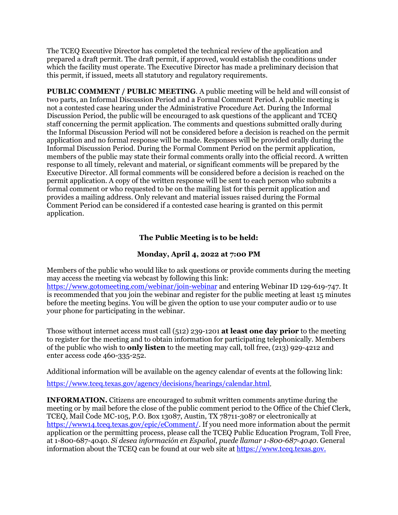The TCEQ Executive Director has completed the technical review of the application and prepared a draft permit. The draft permit, if approved, would establish the conditions under which the facility must operate. The Executive Director has made a preliminary decision that this permit, if issued, meets all statutory and regulatory requirements.

**PUBLIC COMMENT / PUBLIC MEETING**. A public meeting will be held and will consist of two parts, an Informal Discussion Period and a Formal Comment Period. A public meeting is not a contested case hearing under the Administrative Procedure Act. During the Informal Discussion Period, the public will be encouraged to ask questions of the applicant and TCEQ staff concerning the permit application. The comments and questions submitted orally during the Informal Discussion Period will not be considered before a decision is reached on the permit application and no formal response will be made. Responses will be provided orally during the Informal Discussion Period. During the Formal Comment Period on the permit application, members of the public may state their formal comments orally into the official record. A written response to all timely, relevant and material, or significant comments will be prepared by the Executive Director. All formal comments will be considered before a decision is reached on the permit application. A copy of the written response will be sent to each person who submits a formal comment or who requested to be on the mailing list for this permit application and provides a mailing address. Only relevant and material issues raised during the Formal Comment Period can be considered if a contested case hearing is granted on this permit application.

## **The Public Meeting is to be held:**

### **Monday, April 4, 2022 at 7:00 PM**

Members of the public who would like to ask questions or provide comments during the meeting may access the meeting via webcast by following this link: <https://www.gotomeeting.com/webinar/join-webinar> and entering Webinar ID 129-619-747. It is recommended that you join the webinar and register for the public meeting at least 15 minutes before the meeting begins. You will be given the option to use your computer audio or to use your phone for participating in the webinar.

Those without internet access must call (512) 239-1201 **at least one day prior** to the meeting to register for the meeting and to obtain information for participating telephonically. Members of the public who wish to **only listen** to the meeting may call, toll free, (213) 929-4212 and enter access code 460-335-252.

Additional information will be available on the agency calendar of events at the following link:

[https://www.tceq.texas.gov/agency/decisions/hearings/calendar.html.](https://www.tceq.texas.gov/agency/decisions/hearings/calendar.html)

**INFORMATION.** Citizens are encouraged to submit written comments anytime during the meeting or by mail before the close of the public comment period to the Office of the Chief Clerk, TCEQ, Mail Code MC-105, P.O. Box 13087, Austin, TX 78711-3087 or electronically at [https://www14.tceq.texas.gov/epic/eComment/.](https://www14.tceq.texas.gov/epic/eComment/) If you need more information about the permit application or the permitting process, please call the TCEQ Public Education Program, Toll Free, at 1-800-687-4040. *Si desea información en Español*, *puede llamar 1-800-687-4040.* General information about the TCEQ can be found at our web site at [https://www.tceq.texas.gov.](https://www.tceq.texas.gov/)